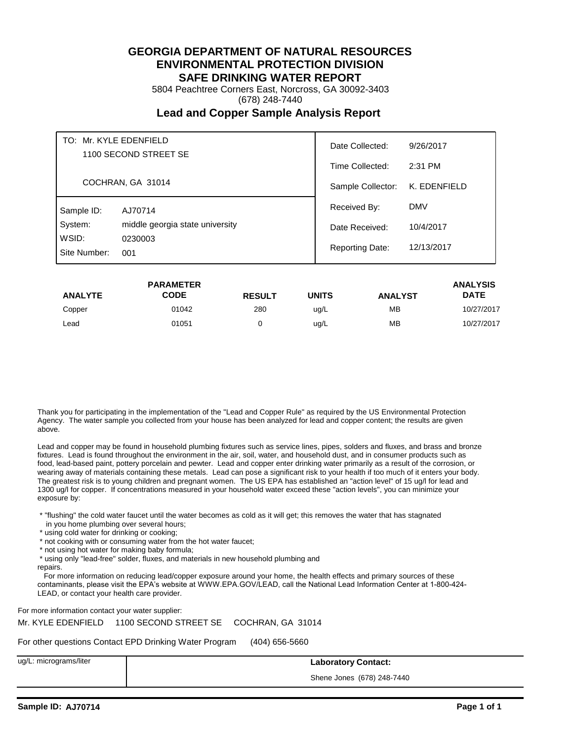5804 Peachtree Corners East, Norcross, GA 30092-3403

(678) 248-7440

## **Lead and Copper Sample Analysis Report**

| TO: Mr. KYLE EDENFIELD<br>1100 SECOND STREET SE |                                 | Date Collected:        | 9/26/2017    |
|-------------------------------------------------|---------------------------------|------------------------|--------------|
|                                                 |                                 | Time Collected:        | 2:31 PM      |
|                                                 | COCHRAN, GA 31014               | Sample Collector:      | K. EDENFIELD |
| Sample ID:                                      | AJ70714                         | Received By:           | <b>DMV</b>   |
| System:                                         | middle georgia state university | Date Received:         | 10/4/2017    |
| WSID:<br>0230003<br>Site Number:<br>001         |                                 | <b>Reporting Date:</b> | 12/13/2017   |

|                | <b>PARAMETER</b> |               |              |                | <b>ANALYSIS</b> |
|----------------|------------------|---------------|--------------|----------------|-----------------|
| <b>ANALYTE</b> | <b>CODE</b>      | <b>RESULT</b> | <b>UNITS</b> | <b>ANALYST</b> | <b>DATE</b>     |
| Copper         | 01042            | 280           | ug/L         | MB             | 10/27/2017      |
| Lead           | 01051            |               | ug/L         | <b>MB</b>      | 10/27/2017      |

Thank you for participating in the implementation of the "Lead and Copper Rule" as required by the US Environmental Protection Agency. The water sample you collected from your house has been analyzed for lead and copper content; the results are given above.

Lead and copper may be found in household plumbing fixtures such as service lines, pipes, solders and fluxes, and brass and bronze fixtures. Lead is found throughout the environment in the air, soil, water, and household dust, and in consumer products such as food, lead-based paint, pottery porcelain and pewter. Lead and copper enter drinking water primarily as a result of the corrosion, or wearing away of materials containing these metals. Lead can pose a significant risk to your health if too much of it enters your body. The greatest risk is to young children and pregnant women. The US EPA has established an "action level" of 15 ug/l for lead and 1300 ug/l for copper. If concentrations measured in your household water exceed these "action levels", you can minimize your exposure by:

 \* "flushing" the cold water faucet until the water becomes as cold as it will get; this removes the water that has stagnated in you home plumbing over several hours;

- \* using cold water for drinking or cooking;
- \* not cooking with or consuming water from the hot water faucet;
- \* not using hot water for making baby formula;
- \* using only "lead-free" solder, fluxes, and materials in new household plumbing and
- repairs.

 For more information on reducing lead/copper exposure around your home, the health effects and primary sources of these contaminants, please visit the EPA's website at WWW.EPA.GOV/LEAD, call the National Lead Information Center at 1-800-424- LEAD, or contact your health care provider.

For more information contact your water supplier:

Mr. KYLE EDENFIELD 1100 SECOND STREET SE COCHRAN, GA 31014

For other questions Contact EPD Drinking Water Program (404) 656-5660

ug/L: micrograms/liter **Laboratory Contact:**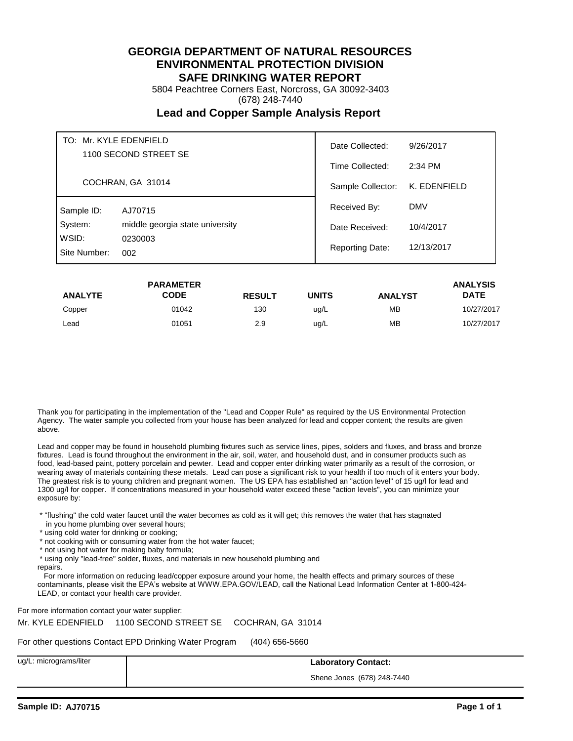5804 Peachtree Corners East, Norcross, GA 30092-3403

(678) 248-7440

## **Lead and Copper Sample Analysis Report**

| TO: Mr. KYLE EDENFIELD<br>1100 SECOND STREET SE |                                 | Date Collected:<br>9/26/2017 |              |
|-------------------------------------------------|---------------------------------|------------------------------|--------------|
|                                                 |                                 | Time Collected:              | $2:34$ PM    |
|                                                 | COCHRAN, GA 31014               | Sample Collector:            | K. EDENFIELD |
| Sample ID:                                      | AJ70715                         | Received By:                 | <b>DMV</b>   |
| System:                                         | middle georgia state university | Date Received:               | 10/4/2017    |
| WSID:<br>0230003<br>Site Number:<br>002         |                                 | <b>Reporting Date:</b>       | 12/13/2017   |

|                | <b>PARAMETER</b> |               |       |                | <b>ANALYSIS</b> |
|----------------|------------------|---------------|-------|----------------|-----------------|
| <b>ANALYTE</b> | CODE             | <b>RESULT</b> | UNITS | <b>ANALYST</b> | <b>DATE</b>     |
| Copper         | 01042            | 130           | ug/L  | <b>MB</b>      | 10/27/2017      |
| Lead           | 01051            | 2.9           | ug/L  | <b>MB</b>      | 10/27/2017      |

Thank you for participating in the implementation of the "Lead and Copper Rule" as required by the US Environmental Protection Agency. The water sample you collected from your house has been analyzed for lead and copper content; the results are given above.

Lead and copper may be found in household plumbing fixtures such as service lines, pipes, solders and fluxes, and brass and bronze fixtures. Lead is found throughout the environment in the air, soil, water, and household dust, and in consumer products such as food, lead-based paint, pottery porcelain and pewter. Lead and copper enter drinking water primarily as a result of the corrosion, or wearing away of materials containing these metals. Lead can pose a significant risk to your health if too much of it enters your body. The greatest risk is to young children and pregnant women. The US EPA has established an "action level" of 15 ug/l for lead and 1300 ug/l for copper. If concentrations measured in your household water exceed these "action levels", you can minimize your exposure by:

 \* "flushing" the cold water faucet until the water becomes as cold as it will get; this removes the water that has stagnated in you home plumbing over several hours;

- \* using cold water for drinking or cooking;
- \* not cooking with or consuming water from the hot water faucet;
- \* not using hot water for making baby formula;
- \* using only "lead-free" solder, fluxes, and materials in new household plumbing and

repairs.

 For more information on reducing lead/copper exposure around your home, the health effects and primary sources of these contaminants, please visit the EPA's website at WWW.EPA.GOV/LEAD, call the National Lead Information Center at 1-800-424- LEAD, or contact your health care provider.

For more information contact your water supplier:

Mr. KYLE EDENFIELD 1100 SECOND STREET SE COCHRAN, GA 31014

For other questions Contact EPD Drinking Water Program (404) 656-5660

ug/L: micrograms/liter **Laboratory Contact:**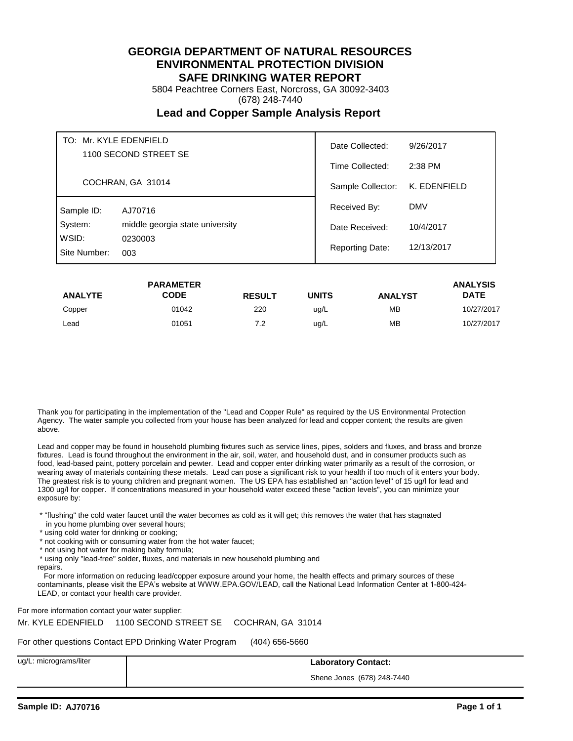5804 Peachtree Corners East, Norcross, GA 30092-3403

(678) 248-7440

## **Lead and Copper Sample Analysis Report**

| TO: Mr. KYLE EDENFIELD<br>1100 SECOND STREET SE |                                 | Date Collected:   | 9/26/2017    |
|-------------------------------------------------|---------------------------------|-------------------|--------------|
|                                                 |                                 | Time Collected:   | $2:38$ PM    |
| COCHRAN, GA 31014                               |                                 | Sample Collector: | K. EDENFIELD |
| Sample ID:                                      | AJ70716                         | Received By:      | <b>DMV</b>   |
| System:                                         | middle georgia state university | Date Received:    | 10/4/2017    |
| WSID:<br>0230003<br>Site Number:<br>003         | <b>Reporting Date:</b>          | 12/13/2017        |              |

|                | <b>PARAMETER</b> |               |       |                | <b>ANALYSIS</b> |
|----------------|------------------|---------------|-------|----------------|-----------------|
| <b>ANALYTE</b> | CODE             | <b>RESULT</b> | UNITS | <b>ANALYST</b> | <b>DATE</b>     |
| Copper         | 01042            | 220           | ug/L  | <b>MB</b>      | 10/27/2017      |
| Lead           | 01051            | 7.2           | ug/L  | <b>MB</b>      | 10/27/2017      |

Thank you for participating in the implementation of the "Lead and Copper Rule" as required by the US Environmental Protection Agency. The water sample you collected from your house has been analyzed for lead and copper content; the results are given above.

Lead and copper may be found in household plumbing fixtures such as service lines, pipes, solders and fluxes, and brass and bronze fixtures. Lead is found throughout the environment in the air, soil, water, and household dust, and in consumer products such as food, lead-based paint, pottery porcelain and pewter. Lead and copper enter drinking water primarily as a result of the corrosion, or wearing away of materials containing these metals. Lead can pose a significant risk to your health if too much of it enters your body. The greatest risk is to young children and pregnant women. The US EPA has established an "action level" of 15 ug/l for lead and 1300 ug/l for copper. If concentrations measured in your household water exceed these "action levels", you can minimize your exposure by:

 \* "flushing" the cold water faucet until the water becomes as cold as it will get; this removes the water that has stagnated in you home plumbing over several hours;

- \* using cold water for drinking or cooking;
- \* not cooking with or consuming water from the hot water faucet;
- \* not using hot water for making baby formula;
- \* using only "lead-free" solder, fluxes, and materials in new household plumbing and
- repairs.

 For more information on reducing lead/copper exposure around your home, the health effects and primary sources of these contaminants, please visit the EPA's website at WWW.EPA.GOV/LEAD, call the National Lead Information Center at 1-800-424- LEAD, or contact your health care provider.

For more information contact your water supplier:

Mr. KYLE EDENFIELD 1100 SECOND STREET SE COCHRAN, GA 31014

For other questions Contact EPD Drinking Water Program (404) 656-5660

ug/L: micrograms/liter **Laboratory Contact:**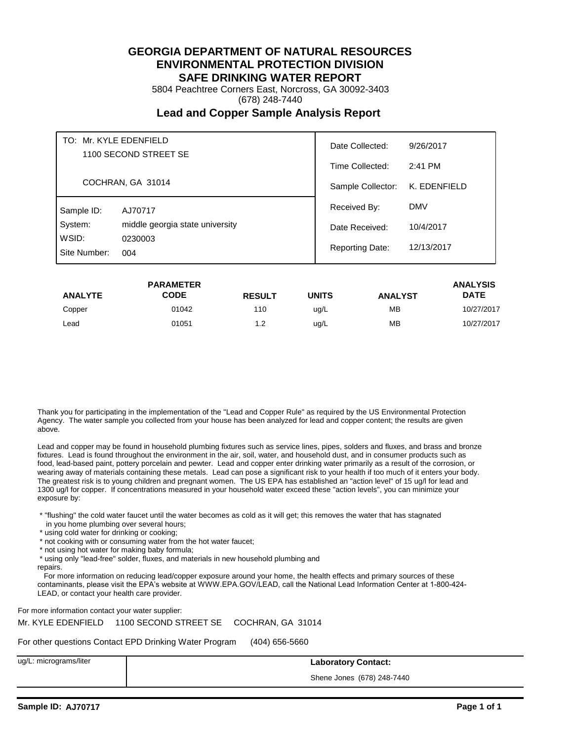5804 Peachtree Corners East, Norcross, GA 30092-3403

(678) 248-7440

## **Lead and Copper Sample Analysis Report**

| TO: Mr. KYLE EDENFIELD<br>1100 SECOND STREET SE |                                 | Date Collected:<br>9/26/2017 |              |
|-------------------------------------------------|---------------------------------|------------------------------|--------------|
|                                                 |                                 | Time Collected:              | 2:41 PM      |
|                                                 | COCHRAN, GA 31014               | Sample Collector:            | K. EDENFIELD |
| Sample ID:                                      | AJ70717                         | Received By:                 | <b>DMV</b>   |
| System:                                         | middle georgia state university | Date Received:               | 10/4/2017    |
| WSID:<br>0230003<br>Site Number:<br>004         | <b>Reporting Date:</b>          | 12/13/2017                   |              |

|                | <b>PARAMETER</b> |               |       |                | <b>ANALYSIS</b> |
|----------------|------------------|---------------|-------|----------------|-----------------|
| <b>ANALYTE</b> | CODE             | <b>RESULT</b> | UNITS | <b>ANALYST</b> | <b>DATE</b>     |
| Copper         | 01042            | 110           | ug/L  | <b>MB</b>      | 10/27/2017      |
| Lead           | 01051            | 1.2           | ug/L  | <b>MB</b>      | 10/27/2017      |

Thank you for participating in the implementation of the "Lead and Copper Rule" as required by the US Environmental Protection Agency. The water sample you collected from your house has been analyzed for lead and copper content; the results are given above.

Lead and copper may be found in household plumbing fixtures such as service lines, pipes, solders and fluxes, and brass and bronze fixtures. Lead is found throughout the environment in the air, soil, water, and household dust, and in consumer products such as food, lead-based paint, pottery porcelain and pewter. Lead and copper enter drinking water primarily as a result of the corrosion, or wearing away of materials containing these metals. Lead can pose a significant risk to your health if too much of it enters your body. The greatest risk is to young children and pregnant women. The US EPA has established an "action level" of 15 ug/l for lead and 1300 ug/l for copper. If concentrations measured in your household water exceed these "action levels", you can minimize your exposure by:

 \* "flushing" the cold water faucet until the water becomes as cold as it will get; this removes the water that has stagnated in you home plumbing over several hours;

- \* using cold water for drinking or cooking;
- \* not cooking with or consuming water from the hot water faucet;
- \* not using hot water for making baby formula;
- \* using only "lead-free" solder, fluxes, and materials in new household plumbing and

repairs.

 For more information on reducing lead/copper exposure around your home, the health effects and primary sources of these contaminants, please visit the EPA's website at WWW.EPA.GOV/LEAD, call the National Lead Information Center at 1-800-424- LEAD, or contact your health care provider.

For more information contact your water supplier:

Mr. KYLE EDENFIELD 1100 SECOND STREET SE COCHRAN, GA 31014

For other questions Contact EPD Drinking Water Program (404) 656-5660

ug/L: micrograms/liter **Laboratory Contact:**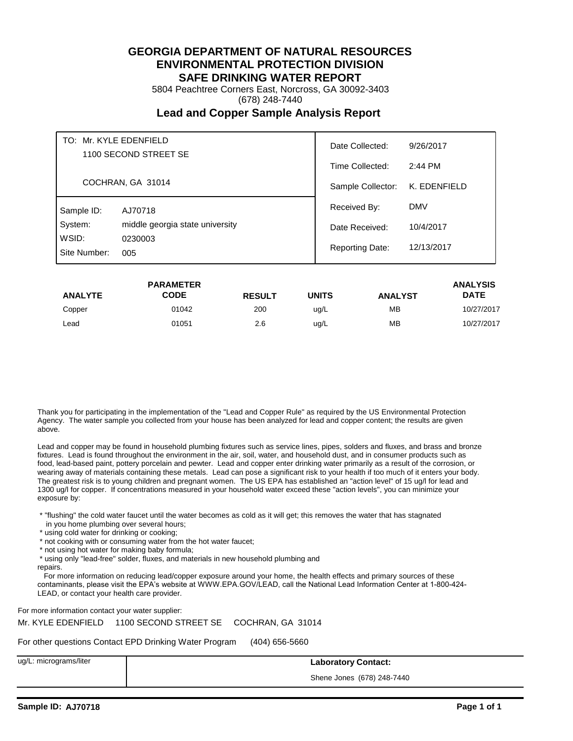5804 Peachtree Corners East, Norcross, GA 30092-3403

(678) 248-7440

## **Lead and Copper Sample Analysis Report**

| TO: Mr. KYLE EDENFIELD<br>1100 SECOND STREET SE |                                 | Date Collected:   | 9/26/2017    |
|-------------------------------------------------|---------------------------------|-------------------|--------------|
|                                                 |                                 | Time Collected:   | 2:44 PM      |
| COCHRAN, GA 31014                               |                                 | Sample Collector: | K. EDENFIELD |
| Sample ID:                                      | AJ70718                         | Received By:      | <b>DMV</b>   |
| System:                                         | middle georgia state university | Date Received:    | 10/4/2017    |
| WSID:<br>0230003<br>Site Number:<br>005         | <b>Reporting Date:</b>          | 12/13/2017        |              |

|                | <b>PARAMETER</b> |               |       |                | <b>ANALYSIS</b> |
|----------------|------------------|---------------|-------|----------------|-----------------|
| <b>ANALYTE</b> | CODE             | <b>RESULT</b> | UNITS | <b>ANALYST</b> | <b>DATE</b>     |
| Copper         | 01042            | 200           | ug/L  | <b>MB</b>      | 10/27/2017      |
| Lead           | 01051            | 2.6           | ug/L  | <b>MB</b>      | 10/27/2017      |

Thank you for participating in the implementation of the "Lead and Copper Rule" as required by the US Environmental Protection Agency. The water sample you collected from your house has been analyzed for lead and copper content; the results are given above.

Lead and copper may be found in household plumbing fixtures such as service lines, pipes, solders and fluxes, and brass and bronze fixtures. Lead is found throughout the environment in the air, soil, water, and household dust, and in consumer products such as food, lead-based paint, pottery porcelain and pewter. Lead and copper enter drinking water primarily as a result of the corrosion, or wearing away of materials containing these metals. Lead can pose a significant risk to your health if too much of it enters your body. The greatest risk is to young children and pregnant women. The US EPA has established an "action level" of 15 ug/l for lead and 1300 ug/l for copper. If concentrations measured in your household water exceed these "action levels", you can minimize your exposure by:

 \* "flushing" the cold water faucet until the water becomes as cold as it will get; this removes the water that has stagnated in you home plumbing over several hours;

- \* using cold water for drinking or cooking;
- \* not cooking with or consuming water from the hot water faucet;
- \* not using hot water for making baby formula;
- \* using only "lead-free" solder, fluxes, and materials in new household plumbing and

repairs.

 For more information on reducing lead/copper exposure around your home, the health effects and primary sources of these contaminants, please visit the EPA's website at WWW.EPA.GOV/LEAD, call the National Lead Information Center at 1-800-424- LEAD, or contact your health care provider.

For more information contact your water supplier:

Mr. KYLE EDENFIELD 1100 SECOND STREET SE COCHRAN, GA 31014

For other questions Contact EPD Drinking Water Program (404) 656-5660

ug/L: micrograms/liter **Laboratory Contact:**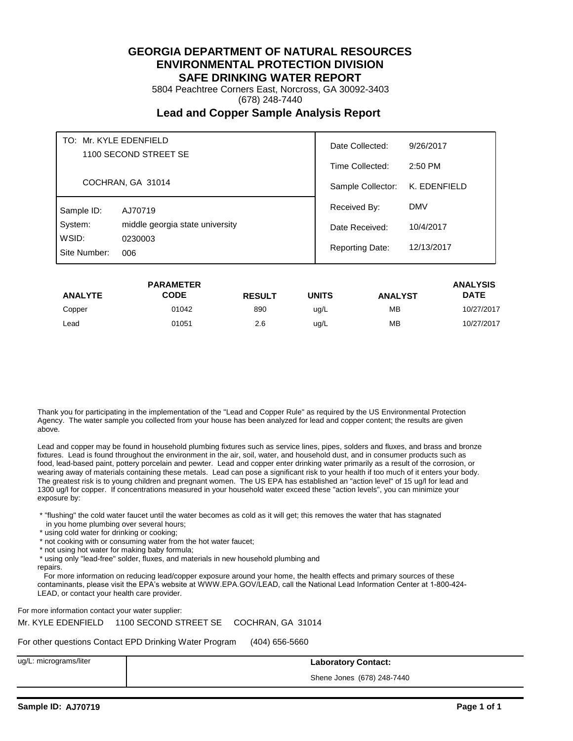5804 Peachtree Corners East, Norcross, GA 30092-3403

(678) 248-7440

## **Lead and Copper Sample Analysis Report**

| TO: Mr. KYLE EDENFIELD<br>1100 SECOND STREET SE |                                 | Date Collected:<br>9/26/2017 |              |
|-------------------------------------------------|---------------------------------|------------------------------|--------------|
|                                                 |                                 | Time Collected:              | 2:50 PM      |
|                                                 | COCHRAN, GA 31014               | Sample Collector:            | K. EDENFIELD |
| Sample ID:                                      | AJ70719                         | Received By:                 | <b>DMV</b>   |
| System:                                         | middle georgia state university | Date Received:               | 10/4/2017    |
| WSID:<br>0230003<br>Site Number:<br>006         | <b>Reporting Date:</b>          | 12/13/2017                   |              |

|                | <b>PARAMETER</b> |               |       |                | <b>ANALYSIS</b> |
|----------------|------------------|---------------|-------|----------------|-----------------|
| <b>ANALYTE</b> | CODE             | <b>RESULT</b> | UNITS | <b>ANALYST</b> | <b>DATE</b>     |
| Copper         | 01042            | 890           | ug/L  | <b>MB</b>      | 10/27/2017      |
| Lead           | 01051            | 2.6           | ug/L  | <b>MB</b>      | 10/27/2017      |

Thank you for participating in the implementation of the "Lead and Copper Rule" as required by the US Environmental Protection Agency. The water sample you collected from your house has been analyzed for lead and copper content; the results are given above.

Lead and copper may be found in household plumbing fixtures such as service lines, pipes, solders and fluxes, and brass and bronze fixtures. Lead is found throughout the environment in the air, soil, water, and household dust, and in consumer products such as food, lead-based paint, pottery porcelain and pewter. Lead and copper enter drinking water primarily as a result of the corrosion, or wearing away of materials containing these metals. Lead can pose a significant risk to your health if too much of it enters your body. The greatest risk is to young children and pregnant women. The US EPA has established an "action level" of 15 ug/l for lead and 1300 ug/l for copper. If concentrations measured in your household water exceed these "action levels", you can minimize your exposure by:

 \* "flushing" the cold water faucet until the water becomes as cold as it will get; this removes the water that has stagnated in you home plumbing over several hours;

- \* using cold water for drinking or cooking;
- \* not cooking with or consuming water from the hot water faucet;
- \* not using hot water for making baby formula;
- \* using only "lead-free" solder, fluxes, and materials in new household plumbing and

repairs.

 For more information on reducing lead/copper exposure around your home, the health effects and primary sources of these contaminants, please visit the EPA's website at WWW.EPA.GOV/LEAD, call the National Lead Information Center at 1-800-424- LEAD, or contact your health care provider.

For more information contact your water supplier:

Mr. KYLE EDENFIELD 1100 SECOND STREET SE COCHRAN, GA 31014

For other questions Contact EPD Drinking Water Program (404) 656-5660

ug/L: micrograms/liter **Laboratory Contact:**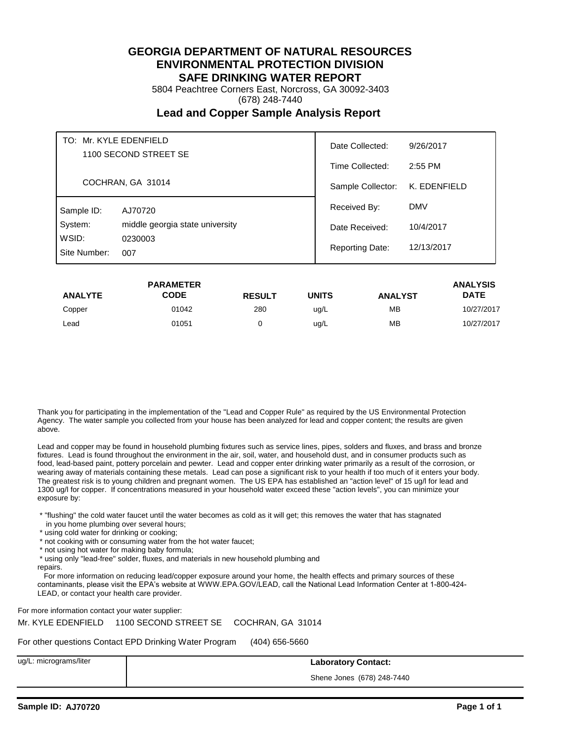5804 Peachtree Corners East, Norcross, GA 30092-3403

(678) 248-7440

## **Lead and Copper Sample Analysis Report**

| TO: Mr. KYLE EDENFIELD<br>1100 SECOND STREET SE<br>COCHRAN, GA 31014 |                                 | Date Collected:        | 9/26/2017    |
|----------------------------------------------------------------------|---------------------------------|------------------------|--------------|
|                                                                      |                                 | Time Collected:        | 2:55 PM      |
|                                                                      |                                 | Sample Collector:      | K. EDENFIELD |
| Sample ID:                                                           | AJ70720                         | Received By:           | <b>DMV</b>   |
| System:                                                              | middle georgia state university | Date Received:         | 10/4/2017    |
| WSID:<br>Site Number:                                                | 0230003<br>007                  | <b>Reporting Date:</b> | 12/13/2017   |

|                | <b>PARAMETER</b> |               |       |                | <b>ANALYSIS</b> |
|----------------|------------------|---------------|-------|----------------|-----------------|
| <b>ANALYTE</b> | CODE             | <b>RESULT</b> | UNITS | <b>ANALYST</b> | <b>DATE</b>     |
| Copper         | 01042            | 280           | ug/L  | <b>MB</b>      | 10/27/2017      |
| Lead           | 01051            |               | ug/L  | <b>MB</b>      | 10/27/2017      |

Thank you for participating in the implementation of the "Lead and Copper Rule" as required by the US Environmental Protection Agency. The water sample you collected from your house has been analyzed for lead and copper content; the results are given above.

Lead and copper may be found in household plumbing fixtures such as service lines, pipes, solders and fluxes, and brass and bronze fixtures. Lead is found throughout the environment in the air, soil, water, and household dust, and in consumer products such as food, lead-based paint, pottery porcelain and pewter. Lead and copper enter drinking water primarily as a result of the corrosion, or wearing away of materials containing these metals. Lead can pose a significant risk to your health if too much of it enters your body. The greatest risk is to young children and pregnant women. The US EPA has established an "action level" of 15 ug/l for lead and 1300 ug/l for copper. If concentrations measured in your household water exceed these "action levels", you can minimize your exposure by:

 \* "flushing" the cold water faucet until the water becomes as cold as it will get; this removes the water that has stagnated in you home plumbing over several hours;

- \* using cold water for drinking or cooking;
- \* not cooking with or consuming water from the hot water faucet;
- \* not using hot water for making baby formula;
- \* using only "lead-free" solder, fluxes, and materials in new household plumbing and

repairs.

 For more information on reducing lead/copper exposure around your home, the health effects and primary sources of these contaminants, please visit the EPA's website at WWW.EPA.GOV/LEAD, call the National Lead Information Center at 1-800-424- LEAD, or contact your health care provider.

For more information contact your water supplier:

Mr. KYLE EDENFIELD 1100 SECOND STREET SE COCHRAN, GA 31014

For other questions Contact EPD Drinking Water Program (404) 656-5660

ug/L: micrograms/liter **Laboratory Contact:**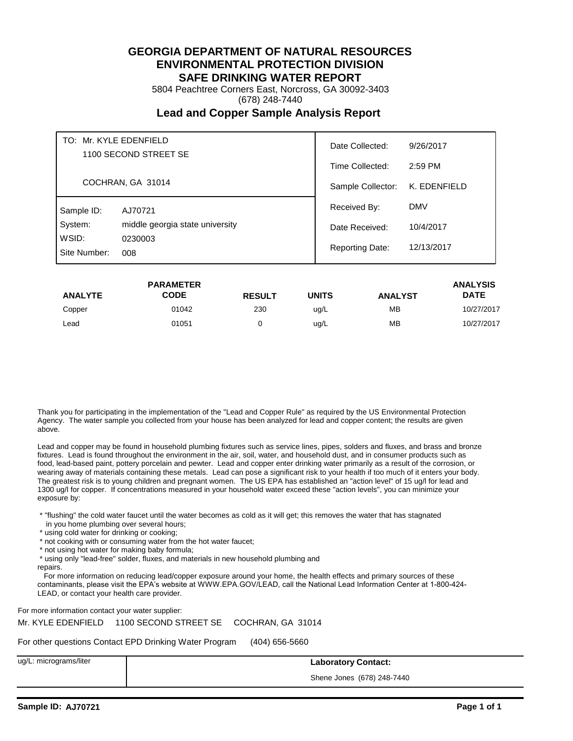5804 Peachtree Corners East, Norcross, GA 30092-3403

(678) 248-7440

## **Lead and Copper Sample Analysis Report**

| TO: Mr. KYLE EDENFIELD<br>1100 SECOND STREET SE<br>COCHRAN, GA 31014 |                                 | Date Collected:<br>9/26/2017 |              |
|----------------------------------------------------------------------|---------------------------------|------------------------------|--------------|
|                                                                      |                                 | Time Collected:              | 2:59 PM      |
|                                                                      |                                 | Sample Collector:            | K. EDENFIELD |
| Sample ID:                                                           | AJ70721                         | Received By:                 | <b>DMV</b>   |
| System:                                                              | middle georgia state university | Date Received:               | 10/4/2017    |
| WSID:<br>Site Number:                                                | 0230003<br>008                  | <b>Reporting Date:</b>       | 12/13/2017   |

|                | <b>PARAMETER</b> |               |              |                | <b>ANALYSIS</b> |
|----------------|------------------|---------------|--------------|----------------|-----------------|
| <b>ANALYTE</b> | <b>CODE</b>      | <b>RESULT</b> | <b>UNITS</b> | <b>ANALYST</b> | <b>DATE</b>     |
| Copper         | 01042            | 230           | ug/L         | <b>MB</b>      | 10/27/2017      |
| Lead           | 01051            |               | ug/L         | <b>MB</b>      | 10/27/2017      |

Thank you for participating in the implementation of the "Lead and Copper Rule" as required by the US Environmental Protection Agency. The water sample you collected from your house has been analyzed for lead and copper content; the results are given above.

Lead and copper may be found in household plumbing fixtures such as service lines, pipes, solders and fluxes, and brass and bronze fixtures. Lead is found throughout the environment in the air, soil, water, and household dust, and in consumer products such as food, lead-based paint, pottery porcelain and pewter. Lead and copper enter drinking water primarily as a result of the corrosion, or wearing away of materials containing these metals. Lead can pose a significant risk to your health if too much of it enters your body. The greatest risk is to young children and pregnant women. The US EPA has established an "action level" of 15 ug/l for lead and 1300 ug/l for copper. If concentrations measured in your household water exceed these "action levels", you can minimize your exposure by:

 \* "flushing" the cold water faucet until the water becomes as cold as it will get; this removes the water that has stagnated in you home plumbing over several hours;

- \* using cold water for drinking or cooking;
- \* not cooking with or consuming water from the hot water faucet;
- \* not using hot water for making baby formula;
- \* using only "lead-free" solder, fluxes, and materials in new household plumbing and

repairs.

 For more information on reducing lead/copper exposure around your home, the health effects and primary sources of these contaminants, please visit the EPA's website at WWW.EPA.GOV/LEAD, call the National Lead Information Center at 1-800-424- LEAD, or contact your health care provider.

For more information contact your water supplier:

Mr. KYLE EDENFIELD 1100 SECOND STREET SE COCHRAN, GA 31014

For other questions Contact EPD Drinking Water Program (404) 656-5660

ug/L: micrograms/liter **Laboratory Contact:**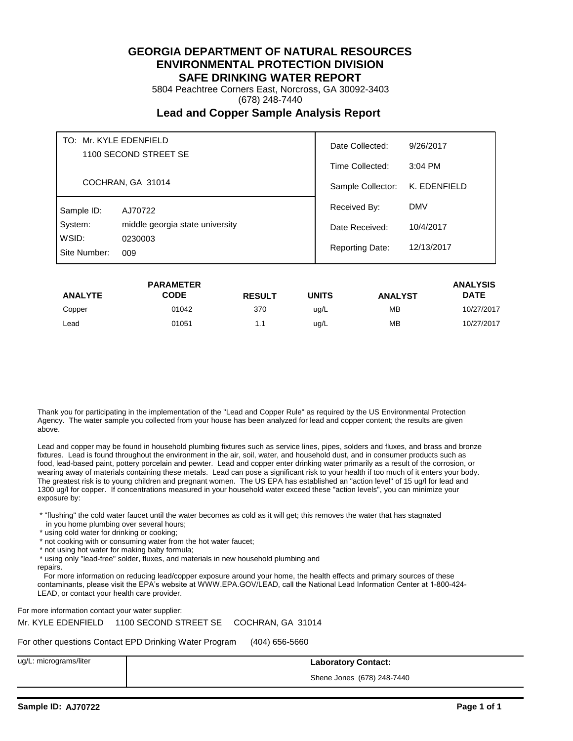5804 Peachtree Corners East, Norcross, GA 30092-3403

(678) 248-7440

## **Lead and Copper Sample Analysis Report**

| TO: Mr. KYLE EDENFIELD<br>1100 SECOND STREET SE<br>COCHRAN, GA 31014 |                                 | Date Collected:        | 9/26/2017    |
|----------------------------------------------------------------------|---------------------------------|------------------------|--------------|
|                                                                      |                                 | Time Collected:        | $3:04$ PM    |
|                                                                      |                                 | Sample Collector:      | K. EDENFIELD |
| Sample ID:                                                           | AJ70722                         | Received By:           | <b>DMV</b>   |
| System:                                                              | middle georgia state university | Date Received:         | 10/4/2017    |
| WSID:<br>Site Number:                                                | 0230003<br>009                  | <b>Reporting Date:</b> | 12/13/2017   |

|                | <b>PARAMETER</b> |               |       |                | <b>ANALYSIS</b> |
|----------------|------------------|---------------|-------|----------------|-----------------|
| <b>ANALYTE</b> | CODE             | <b>RESULT</b> | UNITS | <b>ANALYST</b> | <b>DATE</b>     |
| Copper         | 01042            | 370           | ug/L  | <b>MB</b>      | 10/27/2017      |
| Lead           | 01051            | 1.1           | ug/L  | <b>MB</b>      | 10/27/2017      |

Thank you for participating in the implementation of the "Lead and Copper Rule" as required by the US Environmental Protection Agency. The water sample you collected from your house has been analyzed for lead and copper content; the results are given above.

Lead and copper may be found in household plumbing fixtures such as service lines, pipes, solders and fluxes, and brass and bronze fixtures. Lead is found throughout the environment in the air, soil, water, and household dust, and in consumer products such as food, lead-based paint, pottery porcelain and pewter. Lead and copper enter drinking water primarily as a result of the corrosion, or wearing away of materials containing these metals. Lead can pose a significant risk to your health if too much of it enters your body. The greatest risk is to young children and pregnant women. The US EPA has established an "action level" of 15 ug/l for lead and 1300 ug/l for copper. If concentrations measured in your household water exceed these "action levels", you can minimize your exposure by:

 \* "flushing" the cold water faucet until the water becomes as cold as it will get; this removes the water that has stagnated in you home plumbing over several hours;

- \* using cold water for drinking or cooking;
- \* not cooking with or consuming water from the hot water faucet;
- \* not using hot water for making baby formula;
- \* using only "lead-free" solder, fluxes, and materials in new household plumbing and

repairs.

 For more information on reducing lead/copper exposure around your home, the health effects and primary sources of these contaminants, please visit the EPA's website at WWW.EPA.GOV/LEAD, call the National Lead Information Center at 1-800-424- LEAD, or contact your health care provider.

For more information contact your water supplier:

Mr. KYLE EDENFIELD 1100 SECOND STREET SE COCHRAN, GA 31014

For other questions Contact EPD Drinking Water Program (404) 656-5660

ug/L: micrograms/liter **Laboratory Contact:**